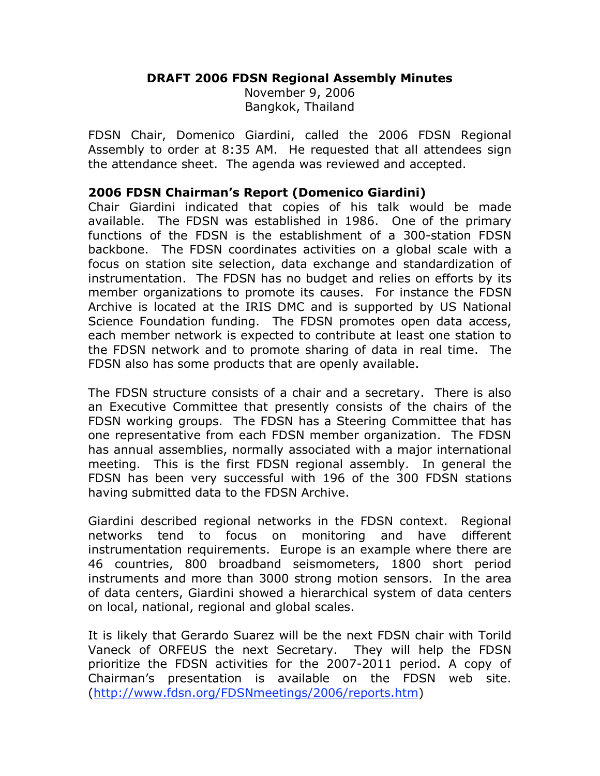### **DRAFT 2006 FDSN Regional Assembly Minutes**

November 9, 2006 Bangkok, Thailand

FDSN Chair, Domenico Giardini, called the 2006 FDSN Regional Assembly to order at 8:35 AM. He requested that all attendees sign the attendance sheet. The agenda was reviewed and accepted.

#### **2006 FDSN Chairman's Report (Domenico Giardini)**

Chair Giardini indicated that copies of his talk would be made available. The FDSN was established in 1986. One of the primary functions of the FDSN is the establishment of a 300-station FDSN backbone. The FDSN coordinates activities on a global scale with a focus on station site selection, data exchange and standardization of instrumentation. The FDSN has no budget and relies on efforts by its member organizations to promote its causes. For instance the FDSN Archive is located at the IRIS DMC and is supported by US National Science Foundation funding. The FDSN promotes open data access, each member network is expected to contribute at least one station to the FDSN network and to promote sharing of data in real time. The FDSN also has some products that are openly available.

The FDSN structure consists of a chair and a secretary. There is also an Executive Committee that presently consists of the chairs of the FDSN working groups. The FDSN has a Steering Committee that has one representative from each FDSN member organization. The FDSN has annual assemblies, normally associated with a major international meeting. This is the first FDSN regional assembly. In general the FDSN has been very successful with 196 of the 300 FDSN stations having submitted data to the FDSN Archive.

Giardini described regional networks in the FDSN context. Regional networks tend to focus on monitoring and have different instrumentation requirements. Europe is an example where there are 46 countries, 800 broadband seismometers, 1800 short period instruments and more than 3000 strong motion sensors. In the area of data centers, Giardini showed a hierarchical system of data centers on local, national, regional and global scales.

It is likely that Gerardo Suarez will be the next FDSN chair with Torild Vaneck of ORFEUS the next Secretary. They will help the FDSN prioritize the FDSN activities for the 2007-2011 period. A copy of Chairman's presentation is available on the FDSN web site. (http://www.fdsn.org/FDSNmeetings/2006/reports.htm)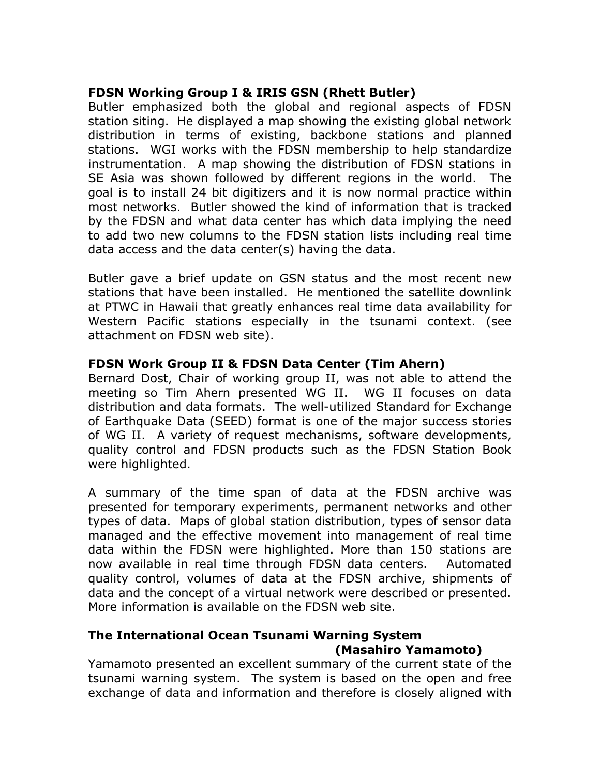## **FDSN Working Group I & IRIS GSN (Rhett Butler)**

Butler emphasized both the global and regional aspects of FDSN station siting. He displayed a map showing the existing global network distribution in terms of existing, backbone stations and planned stations. WGI works with the FDSN membership to help standardize instrumentation. A map showing the distribution of FDSN stations in SE Asia was shown followed by different regions in the world. The goal is to install 24 bit digitizers and it is now normal practice within most networks. Butler showed the kind of information that is tracked by the FDSN and what data center has which data implying the need to add two new columns to the FDSN station lists including real time data access and the data center(s) having the data.

Butler gave a brief update on GSN status and the most recent new stations that have been installed. He mentioned the satellite downlink at PTWC in Hawaii that greatly enhances real time data availability for Western Pacific stations especially in the tsunami context. (see attachment on FDSN web site).

## **FDSN Work Group II & FDSN Data Center (Tim Ahern)**

Bernard Dost, Chair of working group II, was not able to attend the meeting so Tim Ahern presented WG II. WG II focuses on data distribution and data formats. The well-utilized Standard for Exchange of Earthquake Data (SEED) format is one of the major success stories of WG II. A variety of request mechanisms, software developments, quality control and FDSN products such as the FDSN Station Book were highlighted.

A summary of the time span of data at the FDSN archive was presented for temporary experiments, permanent networks and other types of data. Maps of global station distribution, types of sensor data managed and the effective movement into management of real time data within the FDSN were highlighted. More than 150 stations are now available in real time through FDSN data centers. Automated quality control, volumes of data at the FDSN archive, shipments of data and the concept of a virtual network were described or presented. More information is available on the FDSN web site.

# **The International Ocean Tsunami Warning System (Masahiro Yamamoto)**

Yamamoto presented an excellent summary of the current state of the tsunami warning system. The system is based on the open and free exchange of data and information and therefore is closely aligned with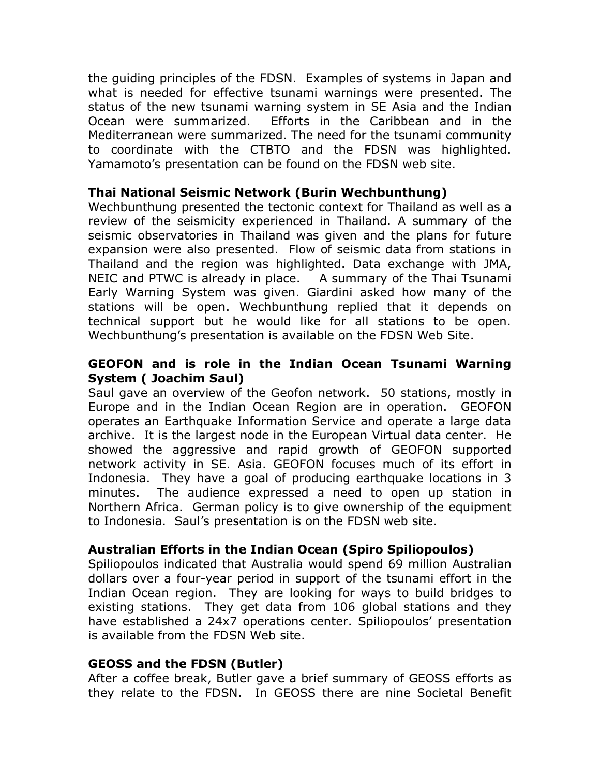the guiding principles of the FDSN. Examples of systems in Japan and what is needed for effective tsunami warnings were presented. The status of the new tsunami warning system in SE Asia and the Indian Ocean were summarized. Efforts in the Caribbean and in the Mediterranean were summarized. The need for the tsunami community to coordinate with the CTBTO and the FDSN was highlighted. Yamamoto's presentation can be found on the FDSN web site.

#### **Thai National Seismic Network (Burin Wechbunthung)**

Wechbunthung presented the tectonic context for Thailand as well as a review of the seismicity experienced in Thailand. A summary of the seismic observatories in Thailand was given and the plans for future expansion were also presented. Flow of seismic data from stations in Thailand and the region was highlighted. Data exchange with JMA, NEIC and PTWC is already in place. A summary of the Thai Tsunami Early Warning System was given. Giardini asked how many of the stations will be open. Wechbunthung replied that it depends on technical support but he would like for all stations to be open. Wechbunthung's presentation is available on the FDSN Web Site.

### **GEOFON and is role in the Indian Ocean Tsunami Warning System ( Joachim Saul)**

Saul gave an overview of the Geofon network. 50 stations, mostly in Europe and in the Indian Ocean Region are in operation. GEOFON operates an Earthquake Information Service and operate a large data archive. It is the largest node in the European Virtual data center. He showed the aggressive and rapid growth of GEOFON supported network activity in SE. Asia. GEOFON focuses much of its effort in Indonesia. They have a goal of producing earthquake locations in 3 minutes. The audience expressed a need to open up station in Northern Africa. German policy is to give ownership of the equipment to Indonesia. Saul's presentation is on the FDSN web site.

### **Australian Efforts in the Indian Ocean (Spiro Spiliopoulos)**

Spiliopoulos indicated that Australia would spend 69 million Australian dollars over a four-year period in support of the tsunami effort in the Indian Ocean region. They are looking for ways to build bridges to existing stations. They get data from 106 global stations and they have established a 24x7 operations center. Spiliopoulos' presentation is available from the FDSN Web site.

### **GEOSS and the FDSN (Butler)**

After a coffee break, Butler gave a brief summary of GEOSS efforts as they relate to the FDSN. In GEOSS there are nine Societal Benefit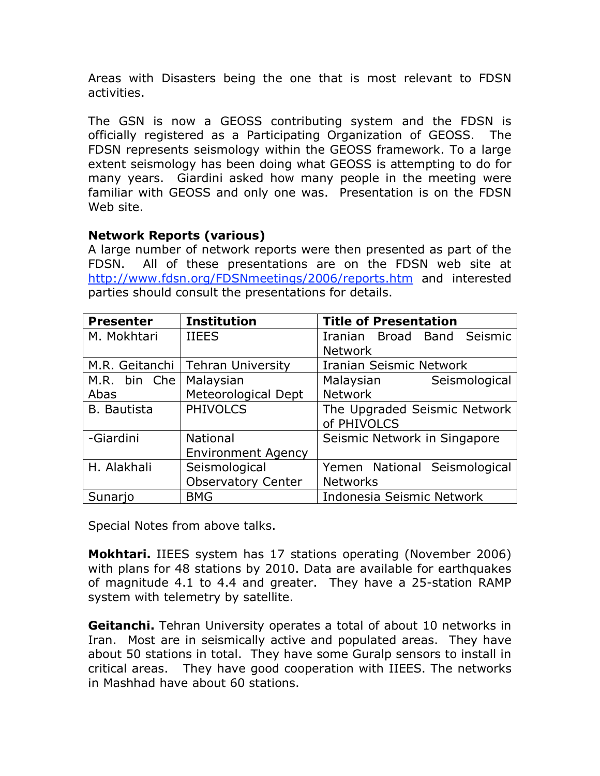Areas with Disasters being the one that is most relevant to FDSN activities.

The GSN is now a GEOSS contributing system and the FDSN is officially registered as a Participating Organization of GEOSS. The FDSN represents seismology within the GEOSS framework. To a large extent seismology has been doing what GEOSS is attempting to do for many years. Giardini asked how many people in the meeting were familiar with GEOSS and only one was. Presentation is on the FDSN Web site.

## **Network Reports (various)**

A large number of network reports were then presented as part of the FDSN. All of these presentations are on the FDSN web site at http://www.fdsn.org/FDSNmeetings/2006/reports.htm and interested parties should consult the presentations for details.

| <b>Presenter</b>   | <b>Institution</b>        | <b>Title of Presentation</b> |  |  |
|--------------------|---------------------------|------------------------------|--|--|
| M. Mokhtari        | <b>IIEES</b>              | Iranian Broad Band Seismic   |  |  |
|                    |                           | <b>Network</b>               |  |  |
| M.R. Geitanchi     | <b>Tehran University</b>  | Iranian Seismic Network      |  |  |
| M.R. bin Che       | Malaysian                 | Malaysian<br>Seismological   |  |  |
| Abas               | Meteorological Dept       | <b>Network</b>               |  |  |
| <b>B.</b> Bautista | <b>PHIVOLCS</b>           | The Upgraded Seismic Network |  |  |
|                    |                           | of PHIVOLCS                  |  |  |
| -Giardini          | National                  | Seismic Network in Singapore |  |  |
|                    | <b>Environment Agency</b> |                              |  |  |
| H. Alakhali        | Seismological             | Yemen National Seismological |  |  |
|                    | <b>Observatory Center</b> | <b>Networks</b>              |  |  |
| Sunarjo            | <b>BMG</b>                | Indonesia Seismic Network    |  |  |

Special Notes from above talks.

**Mokhtari.** IIEES system has 17 stations operating (November 2006) with plans for 48 stations by 2010. Data are available for earthquakes of magnitude 4.1 to 4.4 and greater. They have a 25-station RAMP system with telemetry by satellite.

**Geitanchi.** Tehran University operates a total of about 10 networks in Iran. Most are in seismically active and populated areas. They have about 50 stations in total. They have some Guralp sensors to install in critical areas. They have good cooperation with IIEES. The networks in Mashhad have about 60 stations.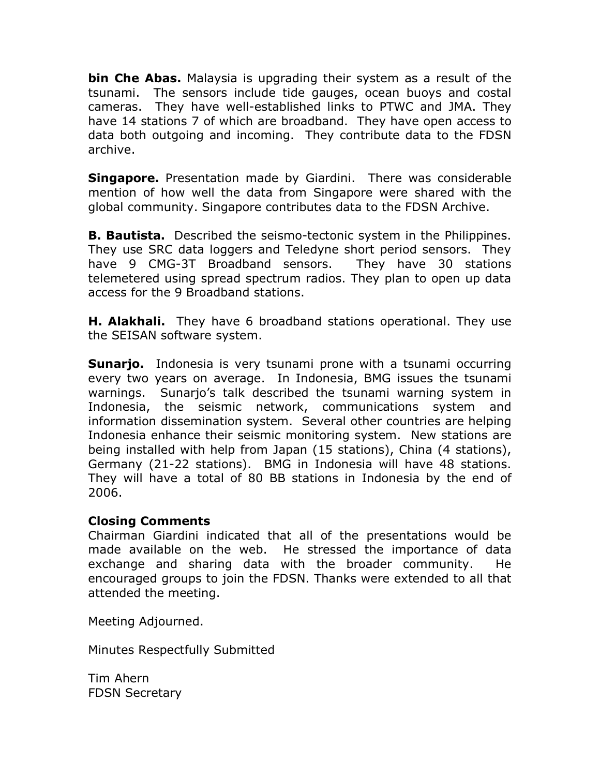**bin Che Abas.** Malaysia is upgrading their system as a result of the tsunami. The sensors include tide gauges, ocean buoys and costal cameras. They have well-established links to PTWC and JMA. They have 14 stations 7 of which are broadband. They have open access to data both outgoing and incoming. They contribute data to the FDSN archive.

**Singapore.** Presentation made by Giardini. There was considerable mention of how well the data from Singapore were shared with the global community. Singapore contributes data to the FDSN Archive.

**B. Bautista.** Described the seismo-tectonic system in the Philippines. They use SRC data loggers and Teledyne short period sensors. They have 9 CMG-3T Broadband sensors. They have 30 stations telemetered using spread spectrum radios. They plan to open up data access for the 9 Broadband stations.

**H. Alakhali.** They have 6 broadband stations operational. They use the SEISAN software system.

**Sunarjo.** Indonesia is very tsunami prone with a tsunami occurring every two years on average. In Indonesia, BMG issues the tsunami warnings. Sunarjo's talk described the tsunami warning system in Indonesia, the seismic network, communications system and information dissemination system. Several other countries are helping Indonesia enhance their seismic monitoring system. New stations are being installed with help from Japan (15 stations), China (4 stations), Germany (21-22 stations). BMG in Indonesia will have 48 stations. They will have a total of 80 BB stations in Indonesia by the end of 2006.

### **Closing Comments**

Chairman Giardini indicated that all of the presentations would be made available on the web. He stressed the importance of data exchange and sharing data with the broader community. He encouraged groups to join the FDSN. Thanks were extended to all that attended the meeting.

Meeting Adjourned.

Minutes Respectfully Submitted

Tim Ahern FDSN Secretary